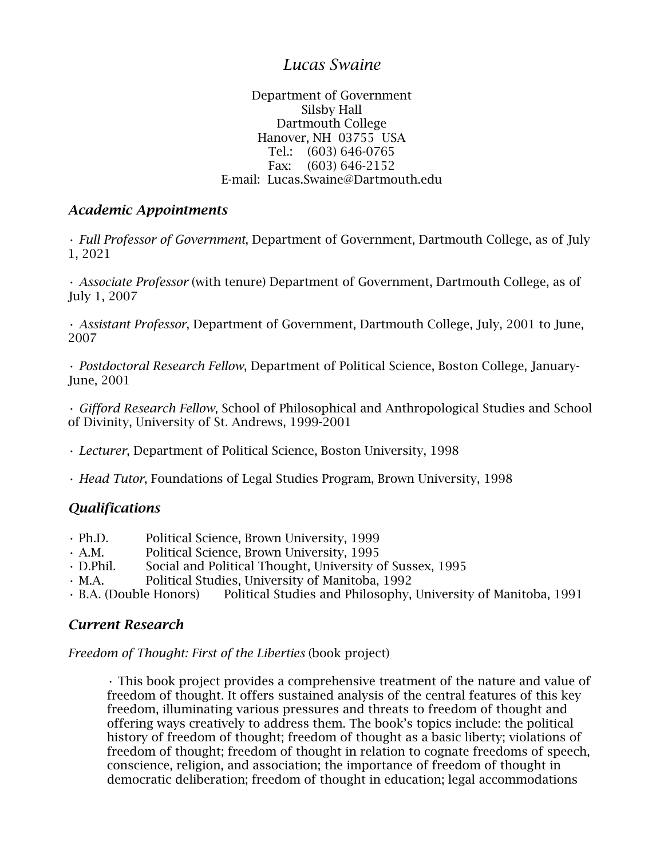# *Lucas Swaine*

#### Department of Government Silsby Hall Dartmouth College Hanover, NH 03755 USA Tel.: (603) 646-0765 Fax: (603) 646-2152 E-mail: Lucas.Swaine@Dartmouth.edu

#### *Academic Appointments*

• *Full Professor of Government*, Department of Government, Dartmouth College, as of July 1, 2021

• *Associate Professor* (with tenure) Department of Government, Dartmouth College, as of July 1, 2007

• *Assistant Professor*, Department of Government, Dartmouth College, July, 2001 to June, 2007

• *Postdoctoral Research Fellow*, Department of Political Science, Boston College, January-June, 2001

• *Gifford Research Fellow*, School of Philosophical and Anthropological Studies and School of Divinity, University of St. Andrews, 1999-2001

• *Lecturer*, Department of Political Science, Boston University, 1998

• *Head Tutor*, Foundations of Legal Studies Program, Brown University, 1998

### *Qualifications*

- Ph.D. Political Science, Brown University, 1999
- A.M. Political Science, Brown University, 1995
- D.Phil. Social and Political Thought, University of Sussex, 1995
- M.A. Political Studies, University of Manitoba, 1992

• B.A. (Double Honors) Political Studies and Philosophy, University of Manitoba, 1991

### *Current Research*

*Freedom of Thought: First of the Liberties* (book project)

• This book project provides a comprehensive treatment of the nature and value of freedom of thought. It offers sustained analysis of the central features of this key freedom, illuminating various pressures and threats to freedom of thought and offering ways creatively to address them. The book's topics include: the political history of freedom of thought; freedom of thought as a basic liberty; violations of freedom of thought; freedom of thought in relation to cognate freedoms of speech, conscience, religion, and association; the importance of freedom of thought in democratic deliberation; freedom of thought in education; legal accommodations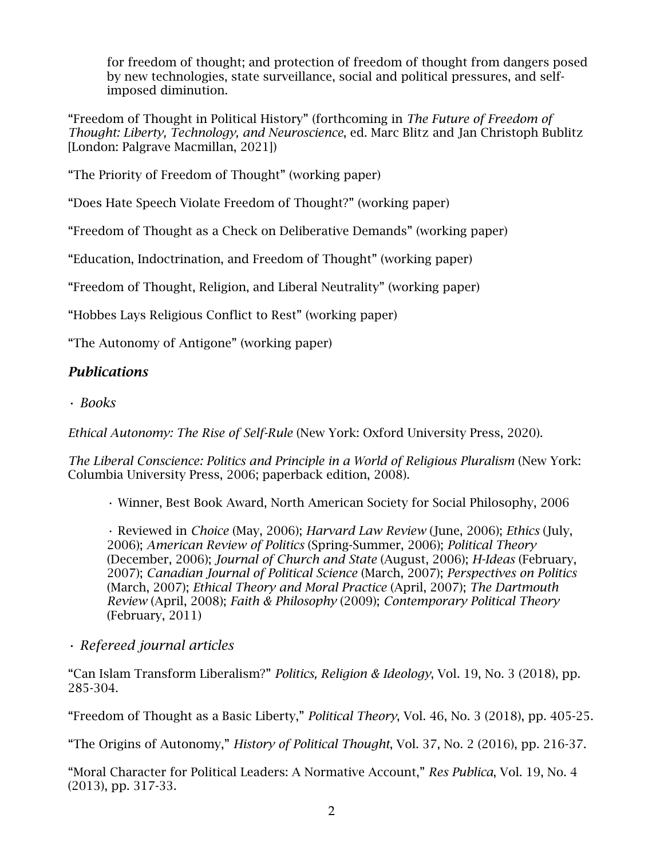for freedom of thought; and protection of freedom of thought from dangers posed by new technologies, state surveillance, social and political pressures, and selfimposed diminution.

"Freedom of Thought in Political History" (forthcoming in *The Future of Freedom of Thought: Liberty, Technology, and Neuroscience*, ed. Marc Blitz and Jan Christoph Bublitz [London: Palgrave Macmillan, 2021])

"The Priority of Freedom of Thought" (working paper)

"Does Hate Speech Violate Freedom of Thought?" (working paper)

"Freedom of Thought as a Check on Deliberative Demands" (working paper)

"Education, Indoctrination, and Freedom of Thought" (working paper)

"Freedom of Thought, Religion, and Liberal Neutrality" (working paper)

"Hobbes Lays Religious Conflict to Rest" (working paper)

"The Autonomy of Antigone" (working paper)

## *Publications*

• *Books*

*Ethical Autonomy: The Rise of Self-Rule* (New York: Oxford University Press, 2020).

*The Liberal Conscience: Politics and Principle in a World of Religious Pluralism* (New York: Columbia University Press, 2006; paperback edition, 2008).

• Winner, Best Book Award, North American Society for Social Philosophy, 2006

• Reviewed in *Choice* (May, 2006); *Harvard Law Review* (June, 2006); *Ethics* (July, 2006); *American Review of Politics* (Spring-Summer, 2006); *Political Theory* (December, 2006); *Journal of Church and State* (August, 2006); *H-Ideas* (February, 2007); *Canadian Journal of Political Science* (March, 2007); *Perspectives on Politics*  (March, 2007); *Ethical Theory and Moral Practice* (April, 2007); *The Dartmouth Review* (April, 2008); *Faith & Philosophy* (2009); *Contemporary Political Theory* (February, 2011)

## • *Refereed journal articles*

"Can Islam Transform Liberalism?" *Politics, Religion & Ideology*, Vol. 19, No. 3 (2018), pp. 285-304.

"Freedom of Thought as a Basic Liberty," *Political Theory*, Vol. 46, No. 3 (2018), pp. 405-25.

"The Origins of Autonomy," *History of Political Thought*, Vol. 37, No. 2 (2016), pp. 216-37.

"Moral Character for Political Leaders: A Normative Account," *Res Publica*, Vol. 19, No. 4 (2013), pp. 317-33.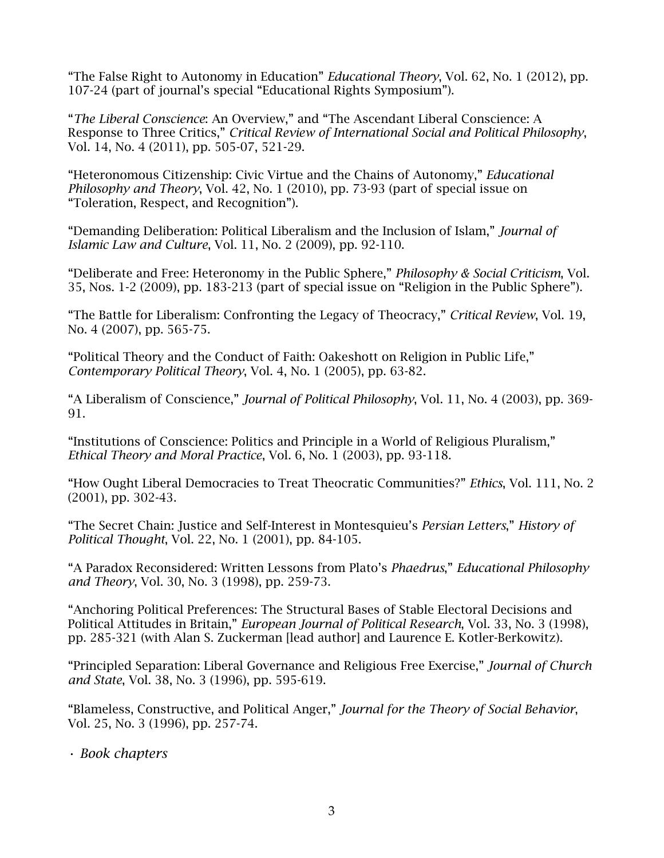"The False Right to Autonomy in Education" *Educational Theory*, Vol. 62, No. 1 (2012), pp. 107-24 (part of journal's special "Educational Rights Symposium").

"*The Liberal Conscience*: An Overview," and "The Ascendant Liberal Conscience: A Response to Three Critics," *Critical Review of International Social and Political Philosophy*, Vol. 14, No. 4 (2011), pp. 505-07, 521-29.

"Heteronomous Citizenship: Civic Virtue and the Chains of Autonomy," *Educational Philosophy and Theory*, Vol. 42, No. 1 (2010), pp. 73-93 (part of special issue on "Toleration, Respect, and Recognition").

"Demanding Deliberation: Political Liberalism and the Inclusion of Islam," *Journal of Islamic Law and Culture*, Vol. 11, No. 2 (2009), pp. 92-110.

"Deliberate and Free: Heteronomy in the Public Sphere," *Philosophy & Social Criticism*, Vol. 35, Nos. 1-2 (2009), pp. 183-213 (part of special issue on "Religion in the Public Sphere").

"The Battle for Liberalism: Confronting the Legacy of Theocracy," *Critical Review*, Vol. 19, No. 4 (2007), pp. 565-75.

"Political Theory and the Conduct of Faith: Oakeshott on Religion in Public Life," *Contemporary Political Theory*, Vol. 4, No. 1 (2005), pp. 63-82.

"A Liberalism of Conscience," *Journal of Political Philosophy*, Vol. 11, No. 4 (2003), pp. 369- 91.

"Institutions of Conscience: Politics and Principle in a World of Religious Pluralism," *Ethical Theory and Moral Practice*, Vol. 6, No. 1 (2003), pp. 93-118.

"How Ought Liberal Democracies to Treat Theocratic Communities?" *Ethics*, Vol. 111, No. 2 (2001), pp. 302-43.

"The Secret Chain: Justice and Self-Interest in Montesquieu's *Persian Letters*," *History of Political Thought*, Vol. 22, No. 1 (2001), pp. 84-105.

"A Paradox Reconsidered: Written Lessons from Plato's *Phaedrus*," *Educational Philosophy and Theory*, Vol. 30, No. 3 (1998), pp. 259-73.

"Anchoring Political Preferences: The Structural Bases of Stable Electoral Decisions and Political Attitudes in Britain," *European Journal of Political Research*, Vol. 33, No. 3 (1998), pp. 285-321 (with Alan S. Zuckerman [lead author] and Laurence E. Kotler-Berkowitz).

"Principled Separation: Liberal Governance and Religious Free Exercise," *Journal of Church and State*, Vol. 38, No. 3 (1996), pp. 595-619.

"Blameless, Constructive, and Political Anger," *Journal for the Theory of Social Behavior*, Vol. 25, No. 3 (1996), pp. 257-74.

• *Book chapters*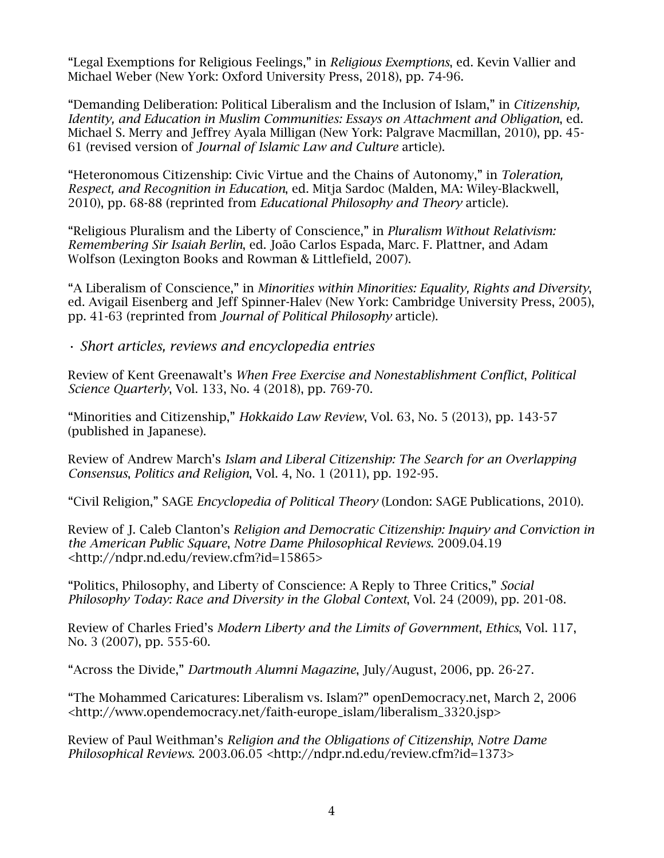"Legal Exemptions for Religious Feelings," in *Religious Exemptions*, ed. Kevin Vallier and Michael Weber (New York: Oxford University Press, 2018), pp. 74-96.

"Demanding Deliberation: Political Liberalism and the Inclusion of Islam," in *Citizenship, Identity, and Education in Muslim Communities: Essays on Attachment and Obligation*, ed. Michael S. Merry and Jeffrey Ayala Milligan (New York: Palgrave Macmillan, 2010), pp. 45- 61 (revised version of *Journal of Islamic Law and Culture* article).

"Heteronomous Citizenship: Civic Virtue and the Chains of Autonomy," in *Toleration, Respect, and Recognition in Education*, ed. Mitja Sardoc (Malden, MA: Wiley-Blackwell, 2010), pp. 68-88 (reprinted from *Educational Philosophy and Theory* article).

"Religious Pluralism and the Liberty of Conscience," in *Pluralism Without Relativism: Remembering Sir Isaiah Berlin*, ed. João Carlos Espada, Marc. F. Plattner, and Adam Wolfson (Lexington Books and Rowman & Littlefield, 2007).

"A Liberalism of Conscience," in *Minorities within Minorities: Equality, Rights and Diversity*, ed. Avigail Eisenberg and Jeff Spinner-Halev (New York: Cambridge University Press, 2005), pp. 41-63 (reprinted from *Journal of Political Philosophy* article).

• *Short articles, reviews and encyclopedia entries*

Review of Kent Greenawalt's *When Free Exercise and Nonestablishment Conflict*, *Political Science Quarterly*, Vol. 133, No. 4 (2018), pp. 769-70.

"Minorities and Citizenship," *Hokkaido Law Review*, Vol. 63, No. 5 (2013), pp. 143-57 (published in Japanese).

Review of Andrew March's *Islam and Liberal Citizenship: The Search for an Overlapping Consensus*, *Politics and Religion*, Vol. 4, No. 1 (2011), pp. 192-95.

"Civil Religion," SAGE *Encyclopedia of Political Theory* (London: SAGE Publications, 2010).

Review of J. Caleb Clanton's *Religion and Democratic Citizenship: Inquiry and Conviction in the American Public Square*, *Notre Dame Philosophical Reviews*. 2009.04.19 <http://ndpr.nd.edu/review.cfm?id=15865>

"Politics, Philosophy, and Liberty of Conscience: A Reply to Three Critics," *Social Philosophy Today: Race and Diversity in the Global Context*, Vol. 24 (2009), pp. 201-08.

Review of Charles Fried's *Modern Liberty and the Limits of Government*, *Ethics*, Vol. 117, No. 3 (2007), pp. 555-60.

"Across the Divide," *Dartmouth Alumni Magazine*, July/August, 2006, pp. 26-27.

"The Mohammed Caricatures: Liberalism vs. Islam?" openDemocracy.net, March 2, 2006 <http://www.opendemocracy.net/faith-europe\_islam/liberalism\_3320.jsp>

Review of Paul Weithman's *Religion and the Obligations of Citizenship*, *Notre Dame Philosophical Reviews*. 2003.06.05 <http://ndpr.nd.edu/review.cfm?id=1373>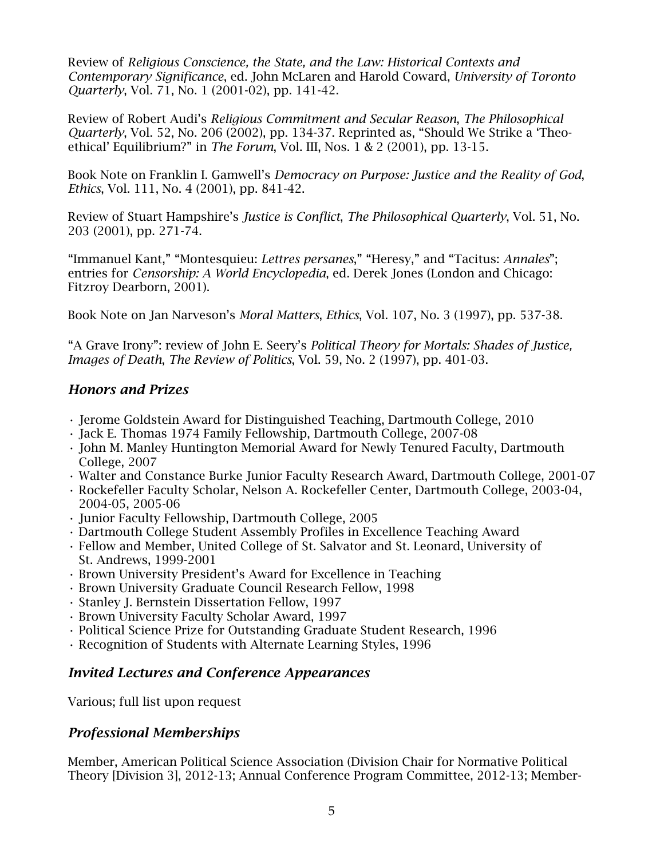Review of *Religious Conscience, the State, and the Law: Historical Contexts and Contemporary Significance*, ed. John McLaren and Harold Coward, *University of Toronto Quarterly*, Vol. 71, No. 1 (2001-02), pp. 141-42.

Review of Robert Audi's *Religious Commitment and Secular Reason*, *The Philosophical Quarterly*, Vol. 52, No. 206 (2002), pp. 134-37. Reprinted as, "Should We Strike a 'Theoethical' Equilibrium?" in *The Forum*, Vol. III, Nos. 1 & 2 (2001), pp. 13-15.

Book Note on Franklin I. Gamwell's *Democracy on Purpose: Justice and the Reality of God*, *Ethics*, Vol. 111, No. 4 (2001), pp. 841-42.

Review of Stuart Hampshire's *Justice is Conflict*, *The Philosophical Quarterly*, Vol. 51, No. 203 (2001), pp. 271-74.

"Immanuel Kant," "Montesquieu: *Lettres persanes*," "Heresy," and "Tacitus: *Annales*"; entries for *Censorship: A World Encyclopedia*, ed. Derek Jones (London and Chicago: Fitzroy Dearborn, 2001).

Book Note on Jan Narveson's *Moral Matters*, *Ethics*, Vol. 107, No. 3 (1997), pp. 537-38.

"A Grave Irony": review of John E. Seery's *Political Theory for Mortals: Shades of Justice, Images of Death*, *The Review of Politics*, Vol. 59, No. 2 (1997), pp. 401-03.

### *Honors and Prizes*

- Jerome Goldstein Award for Distinguished Teaching, Dartmouth College, 2010
- Jack E. Thomas 1974 Family Fellowship, Dartmouth College, 2007-08
- John M. Manley Huntington Memorial Award for Newly Tenured Faculty, Dartmouth College, 2007
- Walter and Constance Burke Junior Faculty Research Award, Dartmouth College, 2001-07
- Rockefeller Faculty Scholar, Nelson A. Rockefeller Center, Dartmouth College, 2003-04, 2004-05, 2005-06
- Junior Faculty Fellowship, Dartmouth College, 2005
- Dartmouth College Student Assembly Profiles in Excellence Teaching Award
- Fellow and Member, United College of St. Salvator and St. Leonard, University of St. Andrews, 1999-2001
- Brown University President's Award for Excellence in Teaching
- Brown University Graduate Council Research Fellow, 1998
- Stanley J. Bernstein Dissertation Fellow, 1997
- Brown University Faculty Scholar Award, 1997
- Political Science Prize for Outstanding Graduate Student Research, 1996
- Recognition of Students with Alternate Learning Styles, 1996

### *Invited Lectures and Conference Appearances*

Various; full list upon request

### *Professional Memberships*

Member, American Political Science Association (Division Chair for Normative Political Theory [Division 3], 2012-13; Annual Conference Program Committee, 2012-13; Member-